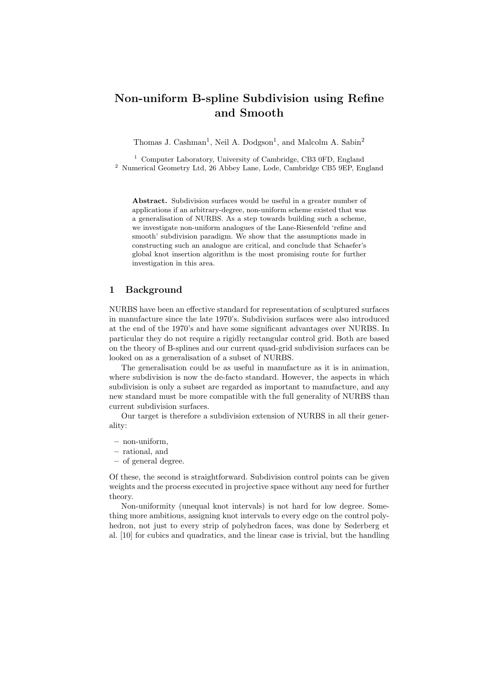# Non-uniform B-spline Subdivision using Refine and Smooth

Thomas J. Cashman<sup>1</sup>, Neil A. Dodgson<sup>1</sup>, and Malcolm A. Sabin<sup>2</sup>

<sup>1</sup> Computer Laboratory, University of Cambridge, CB3 0FD, England <sup>2</sup> Numerical Geometry Ltd, 26 Abbey Lane, Lode, Cambridge CB5 9EP, England

Abstract. Subdivision surfaces would be useful in a greater number of applications if an arbitrary-degree, non-uniform scheme existed that was a generalisation of NURBS. As a step towards building such a scheme, we investigate non-uniform analogues of the Lane-Riesenfeld 'refine and smooth' subdivision paradigm. We show that the assumptions made in constructing such an analogue are critical, and conclude that Schaefer's global knot insertion algorithm is the most promising route for further investigation in this area.

## 1 Background

NURBS have been an effective standard for representation of sculptured surfaces in manufacture since the late 1970's. Subdivision surfaces were also introduced at the end of the 1970's and have some significant advantages over NURBS. In particular they do not require a rigidly rectangular control grid. Both are based on the theory of B-splines and our current quad-grid subdivision surfaces can be looked on as a generalisation of a subset of NURBS.

The generalisation could be as useful in manufacture as it is in animation, where subdivision is now the de-facto standard. However, the aspects in which subdivision is only a subset are regarded as important to manufacture, and any new standard must be more compatible with the full generality of NURBS than current subdivision surfaces.

Our target is therefore a subdivision extension of NURBS in all their generality:

- non-uniform,
- rational, and
- of general degree.

Of these, the second is straightforward. Subdivision control points can be given weights and the process executed in projective space without any need for further theory.

Non-uniformity (unequal knot intervals) is not hard for low degree. Something more ambitious, assigning knot intervals to every edge on the control polyhedron, not just to every strip of polyhedron faces, was done by Sederberg et al. [10] for cubics and quadratics, and the linear case is trivial, but the handling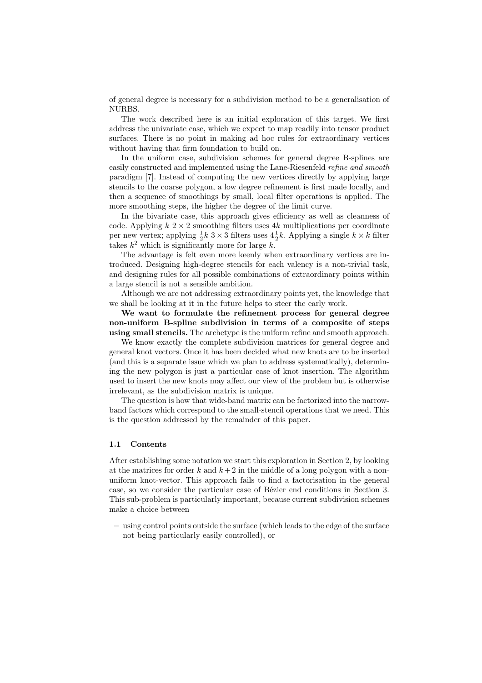of general degree is necessary for a subdivision method to be a generalisation of NURBS.

The work described here is an initial exploration of this target. We first address the univariate case, which we expect to map readily into tensor product surfaces. There is no point in making ad hoc rules for extraordinary vertices without having that firm foundation to build on.

In the uniform case, subdivision schemes for general degree B-splines are easily constructed and implemented using the Lane-Riesenfeld refine and smooth paradigm [7]. Instead of computing the new vertices directly by applying large stencils to the coarse polygon, a low degree refinement is first made locally, and then a sequence of smoothings by small, local filter operations is applied. The more smoothing steps, the higher the degree of the limit curve.

In the bivariate case, this approach gives efficiency as well as cleanness of code. Applying  $k \, 2 \times 2$  smoothing filters uses 4k multiplications per coordinate per new vertex; applying  $\frac{1}{2}k$  3 × 3 filters uses  $4\frac{1}{2}k$ . Applying a single  $k \times k$  filter takes  $k^2$  which is significantly more for large k.

The advantage is felt even more keenly when extraordinary vertices are introduced. Designing high-degree stencils for each valency is a non-trivial task, and designing rules for all possible combinations of extraordinary points within a large stencil is not a sensible ambition.

Although we are not addressing extraordinary points yet, the knowledge that we shall be looking at it in the future helps to steer the early work.

We want to formulate the refinement process for general degree non-uniform B-spline subdivision in terms of a composite of steps using small stencils. The archetype is the uniform refine and smooth approach.

We know exactly the complete subdivision matrices for general degree and general knot vectors. Once it has been decided what new knots are to be inserted (and this is a separate issue which we plan to address systematically), determining the new polygon is just a particular case of knot insertion. The algorithm used to insert the new knots may affect our view of the problem but is otherwise irrelevant, as the subdivision matrix is unique.

The question is how that wide-band matrix can be factorized into the narrowband factors which correspond to the small-stencil operations that we need. This is the question addressed by the remainder of this paper.

### 1.1 Contents

After establishing some notation we start this exploration in Section 2, by looking at the matrices for order k and  $k+2$  in the middle of a long polygon with a nonuniform knot-vector. This approach fails to find a factorisation in the general case, so we consider the particular case of Bézier end conditions in Section 3. This sub-problem is particularly important, because current subdivision schemes make a choice between

– using control points outside the surface (which leads to the edge of the surface not being particularly easily controlled), or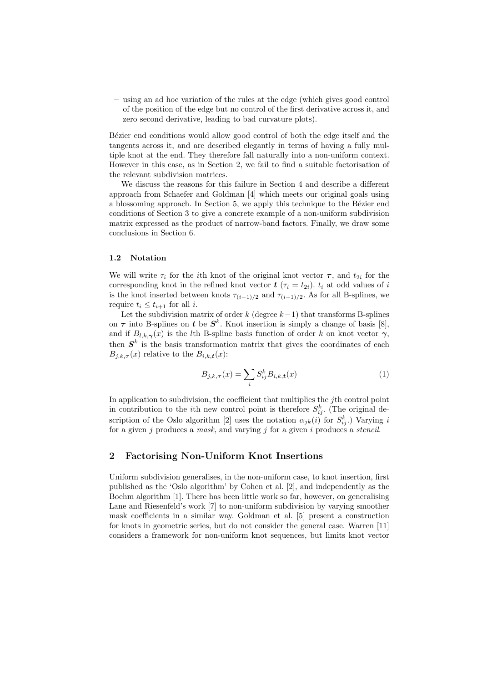– using an ad hoc variation of the rules at the edge (which gives good control of the position of the edge but no control of the first derivative across it, and zero second derivative, leading to bad curvature plots).

Bézier end conditions would allow good control of both the edge itself and the tangents across it, and are described elegantly in terms of having a fully multiple knot at the end. They therefore fall naturally into a non-uniform context. However in this case, as in Section 2, we fail to find a suitable factorisation of the relevant subdivision matrices.

We discuss the reasons for this failure in Section 4 and describe a different approach from Schaefer and Goldman [4] which meets our original goals using a blossoming approach. In Section 5, we apply this technique to the Bézier end conditions of Section 3 to give a concrete example of a non-uniform subdivision matrix expressed as the product of narrow-band factors. Finally, we draw some conclusions in Section 6.

#### 1.2 Notation

We will write  $\tau_i$  for the *i*th knot of the original knot vector  $\tau$ , and  $t_{2i}$  for the corresponding knot in the refined knot vector  $\boldsymbol{t}$  ( $\tau_i = t_{2i}$ ).  $t_i$  at odd values of i is the knot inserted between knots  $\tau_{(i-1)/2}$  and  $\tau_{(i+1)/2}$ . As for all B-splines, we require  $t_i \leq t_{i+1}$  for all i.

Let the subdivision matrix of order k (degree  $k-1$ ) that transforms B-splines on  $\tau$  into B-splines on  $t$  be  $S^k$ . Knot insertion is simply a change of basis [8], and if  $B_{l,k,\gamma}(x)$  is the *l*th B-spline basis function of order k on knot vector  $\gamma$ , then  $S<sup>k</sup>$  is the basis transformation matrix that gives the coordinates of each  $B_{j,k,\tau}(x)$  relative to the  $B_{i,k,\tau}(x)$ :

$$
B_{j,k,\tau}(x) = \sum_{i} S_{ij}^{k} B_{i,k,\tau}(x)
$$
\n(1)

In application to subdivision, the coefficient that multiplies the  $j$ th control point in contribution to the *i*th new control point is therefore  $S_{ij}^k$ . (The original description of the Oslo algorithm [2] uses the notation  $\alpha_{jk}(i)$  for  $S_{ij}^k$ . Varying i for a given j produces a *mask*, and varying j for a given i produces a *stencil*.

# 2 Factorising Non-Uniform Knot Insertions

Uniform subdivision generalises, in the non-uniform case, to knot insertion, first published as the 'Oslo algorithm' by Cohen et al. [2], and independently as the Boehm algorithm [1]. There has been little work so far, however, on generalising Lane and Riesenfeld's work [7] to non-uniform subdivision by varying smoother mask coefficients in a similar way. Goldman et al. [5] present a construction for knots in geometric series, but do not consider the general case. Warren [11] considers a framework for non-uniform knot sequences, but limits knot vector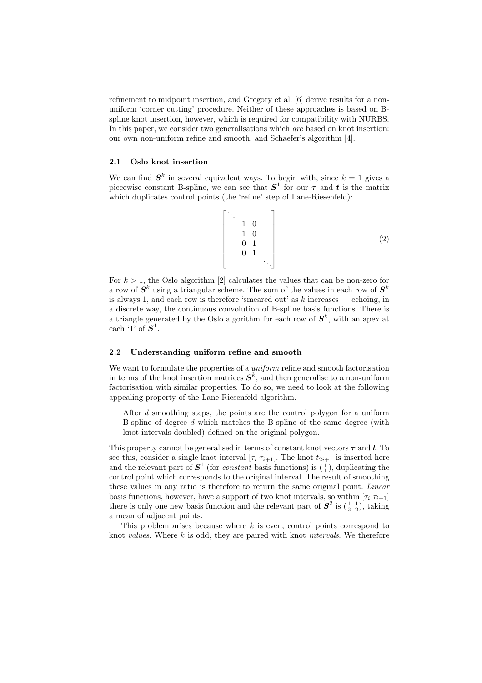refinement to midpoint insertion, and Gregory et al. [6] derive results for a nonuniform 'corner cutting' procedure. Neither of these approaches is based on Bspline knot insertion, however, which is required for compatibility with NURBS. In this paper, we consider two generalisations which are based on knot insertion: our own non-uniform refine and smooth, and Schaefer's algorithm [4].

### 2.1 Oslo knot insertion

We can find  $S<sup>k</sup>$  in several equivalent ways. To begin with, since  $k = 1$  gives a piecewise constant B-spline, we can see that  $S^1$  for our  $\tau$  and  $t$  is the matrix which duplicates control points (the 'refine' step of Lane-Riesenfeld):

$$
\begin{bmatrix}\n\ddots & & & \\
& 1 & 0 & & \\
& 1 & 0 & & \\
& 0 & 1 & & \\
& & \ddots & & \\
& & & & \n\end{bmatrix}
$$
\n(2)

For  $k > 1$ , the Oslo algorithm [2] calculates the values that can be non-zero for a row of  $S^k$  using a triangular scheme. The sum of the values in each row of  $S^k$ is always 1, and each row is therefore 'smeared out' as  $k$  increases — echoing, in a discrete way, the continuous convolution of B-spline basis functions. There is a triangle generated by the Oslo algorithm for each row of  $S<sup>k</sup>$ , with an apex at each '1' of  $S^1$ .

#### 2.2 Understanding uniform refine and smooth

We want to formulate the properties of a *uniform* refine and smooth factorisation in terms of the knot insertion matrices  $S<sup>k</sup>$ , and then generalise to a non-uniform factorisation with similar properties. To do so, we need to look at the following appealing property of the Lane-Riesenfeld algorithm.

 $-$  After  $d$  smoothing steps, the points are the control polygon for a uniform B-spline of degree  $d$  which matches the B-spline of the same degree (with knot intervals doubled) defined on the original polygon.

This property cannot be generalised in terms of constant knot vectors  $\tau$  and  $t$ . To see this, consider a single knot interval  $[\tau_i \tau_{i+1}]$ . The knot  $t_{2i+1}$  is inserted here and the relevant part of  $S^1$  (for *constant* basis functions) is  $(\frac{1}{1})$ , duplicating the control point which corresponds to the original interval. The result of smoothing these values in any ratio is therefore to return the same original point. *Linear* basis functions, however, have a support of two knot intervals, so within  $[\tau_i \tau_{i+1}]$ there is only one new basis function and the relevant part of  $S^2$  is  $(\frac{1}{2}, \frac{1}{2})$ , taking a mean of adjacent points.

This problem arises because where  $k$  is even, control points correspond to knot *values*. Where  $k$  is odd, they are paired with knot *intervals*. We therefore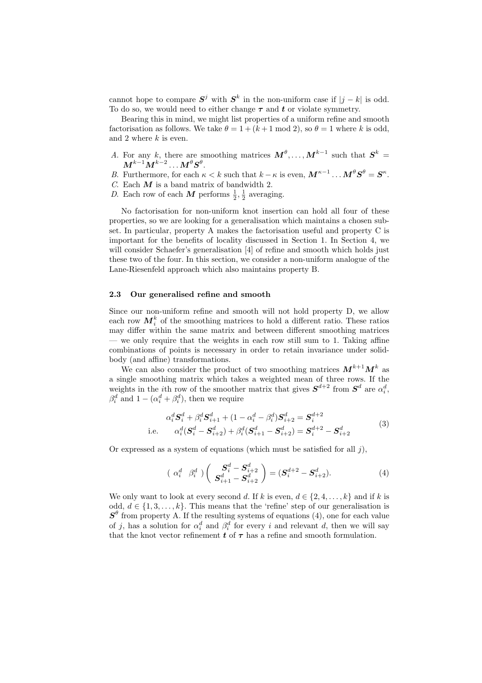cannot hope to compare  $S^j$  with  $S^k$  in the non-uniform case if  $|j - k|$  is odd. To do so, we would need to either change  $\tau$  and  $t$  or violate symmetry.

Bearing this in mind, we might list properties of a uniform refine and smooth factorisation as follows. We take  $\theta = 1 + (k+1 \mod 2)$ , so  $\theta = 1$  where k is odd, and 2 where  $k$  is even.

- A. For any k, there are smoothing matrices  $M^{\theta}, \ldots, M^{k-1}$  such that  $S^k =$  $\boldsymbol{M}^{k-1}\boldsymbol{M}^{k-2}\ldots\boldsymbol{M}^{\theta}\boldsymbol{S}^{\theta}.$
- B. Furthermore, for each  $\kappa < k$  such that  $k \kappa$  is even,  $\mathbf{M}^{\kappa-1} \dots \mathbf{M}^{\theta} \mathbf{S}^{\theta} = \mathbf{S}^{\kappa}$ .
- $C.$  Each  $M$  is a band matrix of bandwidth 2.
- D. Each row of each M performs  $\frac{1}{2}$ ,  $\frac{1}{2}$  averaging.

No factorisation for non-uniform knot insertion can hold all four of these properties, so we are looking for a generalisation which maintains a chosen subset. In particular, property A makes the factorisation useful and property C is important for the benefits of locality discussed in Section 1. In Section 4, we will consider Schaefer's generalisation [4] of refine and smooth which holds just these two of the four. In this section, we consider a non-uniform analogue of the Lane-Riesenfeld approach which also maintains property B.

### 2.3 Our generalised refine and smooth

Since our non-uniform refine and smooth will not hold property D, we allow each row  $M_i^k$  of the smoothing matrices to hold a different ratio. These ratios may differ within the same matrix and between different smoothing matrices — we only require that the weights in each row still sum to 1. Taking affine combinations of points is necessary in order to retain invariance under solidbody (and affine) transformations.

We can also consider the product of two smoothing matrices  $M^{k+1}M^k$  as a single smoothing matrix which takes a weighted mean of three rows. If the weights in the *i*th row of the smoother matrix that gives  $S^{d+2}$  from  $S^d$  are  $\alpha_i^d$ ,  $\beta_i^d$  and  $1 - (\alpha_i^d + \beta_i^d)$ , then we require

$$
\alpha_i^d \mathbf{S}_i^d + \beta_i^d \mathbf{S}_{i+1}^d + (1 - \alpha_i^d - \beta_i^d) \mathbf{S}_{i+2}^d = \mathbf{S}_i^{d+2}
$$
  
i.e. 
$$
\alpha_i^d (\mathbf{S}_i^d - \mathbf{S}_{i+2}^d) + \beta_i^d (\mathbf{S}_{i+1}^d - \mathbf{S}_{i+2}^d) = \mathbf{S}_i^{d+2} - \mathbf{S}_{i+2}^d
$$
 (3)

Or expressed as a system of equations (which must be satisfied for all  $j$ ),

$$
(\alpha_i^d \ \beta_i^d) \left( \begin{array}{c} \mathbf{S}_i^d - \mathbf{S}_{i+2}^d \\ \mathbf{S}_{i+1}^d - \mathbf{S}_{i+2}^d \end{array} \right) = (\mathbf{S}_i^{d+2} - \mathbf{S}_{i+2}^d). \tag{4}
$$

We only want to look at every second d. If k is even,  $d \in \{2, 4, \ldots, k\}$  and if k is odd,  $d \in \{1, 3, ..., k\}$ . This means that the 'refine' step of our generalisation is  $S^{\theta}$  from property A. If the resulting systems of equations (4), one for each value of j, has a solution for  $\alpha_i^d$  and  $\beta_i^d$  for every i and relevant d, then we will say that the knot vector refinement  $t$  of  $\tau$  has a refine and smooth formulation.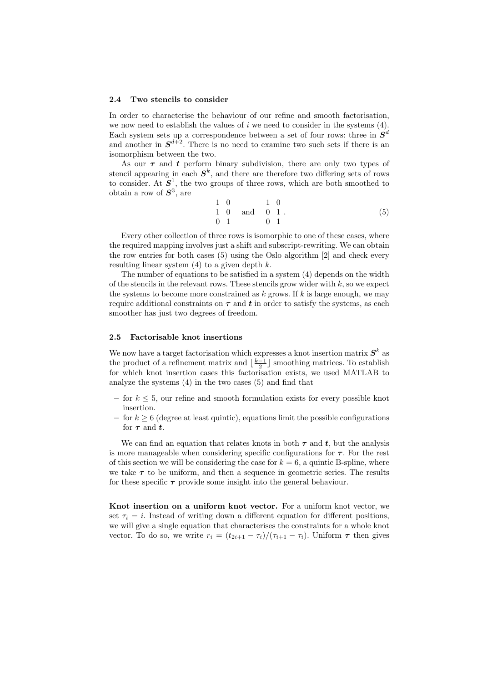#### 2.4 Two stencils to consider

In order to characterise the behaviour of our refine and smooth factorisation, we now need to establish the values of  $i$  we need to consider in the systems  $(4)$ . Each system sets up a correspondence between a set of four rows: three in  $S<sup>d</sup>$ and another in  $S^{d+2}$ . There is no need to examine two such sets if there is an isomorphism between the two.

As our  $\tau$  and  $t$  perform binary subdivision, there are only two types of stencil appearing in each  $S<sup>k</sup>$ , and there are therefore two differing sets of rows to consider. At  $S^1$ , the two groups of three rows, which are both smoothed to obtain a row of  $S^3$ , are

$$
\begin{array}{cccc}\n1 & 0 & 1 & 0 \\
1 & 0 & \text{and} & 0 & 1 \\
0 & 1 & 0 & 1\n\end{array}.
$$
\n(5)

Every other collection of three rows is isomorphic to one of these cases, where the required mapping involves just a shift and subscript-rewriting. We can obtain the row entries for both cases (5) using the Oslo algorithm [2] and check every resulting linear system  $(4)$  to a given depth  $k$ .

The number of equations to be satisfied in a system (4) depends on the width of the stencils in the relevant rows. These stencils grow wider with  $k$ , so we expect the systems to become more constrained as  $k$  grows. If  $k$  is large enough, we may require additional constraints on  $\tau$  and  $t$  in order to satisfy the systems, as each smoother has just two degrees of freedom.

#### 2.5 Factorisable knot insertions

We now have a target factorisation which expresses a knot insertion matrix  $S^k$  as the product of a refinement matrix and  $\lfloor \frac{k-1}{2} \rfloor$  smoothing matrices. To establish for which knot insertion cases this factorisation exists, we used MATLAB to analyze the systems (4) in the two cases (5) and find that

- for  $k \leq 5$ , our refine and smooth formulation exists for every possible knot insertion.
- for  $k \geq 6$  (degree at least quintic), equations limit the possible configurations for  $\tau$  and  $t$ .

We can find an equation that relates knots in both  $\tau$  and  $t$ , but the analysis is more manageable when considering specific configurations for  $\tau$ . For the rest of this section we will be considering the case for  $k = 6$ , a quintic B-spline, where we take  $\tau$  to be uniform, and then a sequence in geometric series. The results for these specific  $\tau$  provide some insight into the general behaviour.

Knot insertion on a uniform knot vector. For a uniform knot vector, we set  $\tau_i = i$ . Instead of writing down a different equation for different positions, we will give a single equation that characterises the constraints for a whole knot vector. To do so, we write  $r_i = (t_{2i+1} - \tau_i)/(\tau_{i+1} - \tau_i)$ . Uniform  $\tau$  then gives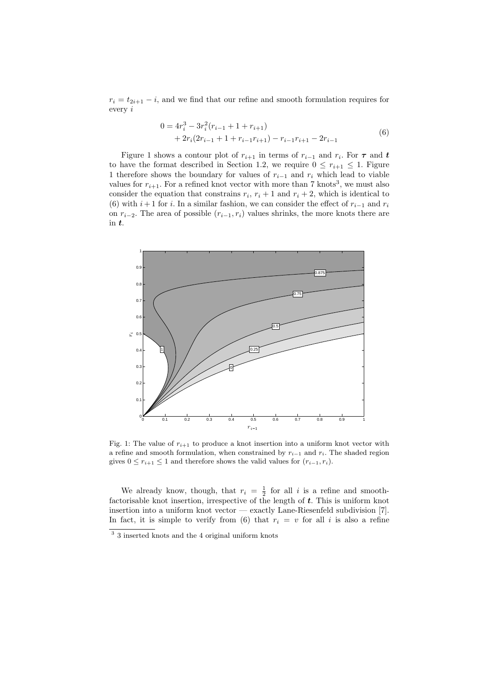$r_i = t_{2i+1} - i$ , and we find that our refine and smooth formulation requires for every i

$$
0 = 4r_i^3 - 3r_i^2(r_{i-1} + 1 + r_{i+1})
$$
  
+  $2r_i(2r_{i-1} + 1 + r_{i-1}r_{i+1}) - r_{i-1}r_{i+1} - 2r_{i-1}$  (6)

Figure 1 shows a contour plot of  $r_{i+1}$  in terms of  $r_{i-1}$  and  $r_i$ . For  $\tau$  and  $t$ to have the format described in Section 1.2, we require  $0 \leq r_{i+1} \leq 1$ . Figure 1 therefore shows the boundary for values of  $r_{i-1}$  and  $r_i$  which lead to viable values for  $r_{i+1}$ . For a refined knot vector with more than 7 knots<sup>3</sup>, we must also consider the equation that constrains  $r_i$ ,  $r_i + 1$  and  $r_i + 2$ , which is identical to (6) with  $i + 1$  for i. In a similar fashion, we can consider the effect of  $r_{i-1}$  and  $r_i$ on  $r_{i-2}$ . The area of possible  $(r_{i-1}, r_i)$  values shrinks, the more knots there are in t.



Fig. 1: The value of  $r_{i+1}$  to produce a knot insertion into a uniform knot vector with a refine and smooth formulation, when constrained by  $r_{i-1}$  and  $r_i$ . The shaded region gives  $0 \leq r_{i+1} \leq 1$  and therefore shows the valid values for  $(r_{i-1}, r_i)$ .

We already know, though, that  $r_i = \frac{1}{2}$  for all i is a refine and smoothfactorisable knot insertion, irrespective of the length of  $t$ . This is uniform knot insertion into a uniform knot vector — exactly Lane-Riesenfeld subdivision [7]. In fact, it is simple to verify from (6) that  $r_i = v$  for all i is also a refine

<sup>&</sup>lt;sup>3</sup> 3 inserted knots and the 4 original uniform knots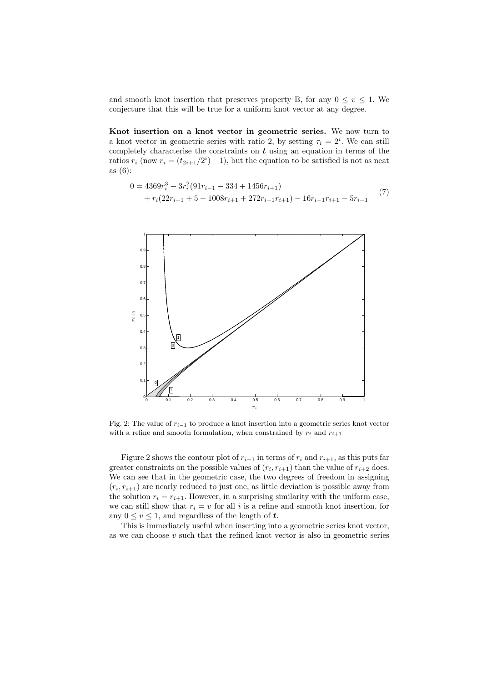and smooth knot insertion that preserves property B, for any  $0 \le v \le 1$ . We conjecture that this will be true for a uniform knot vector at any degree.

Knot insertion on a knot vector in geometric series. We now turn to a knot vector in geometric series with ratio 2, by setting  $\tau_i = 2^i$ . We can still completely characterise the constraints on  $t$  using an equation in terms of the ratios  $r_i$  (now  $r_i = (t_{2i+1}/2^i) - 1$ ), but the equation to be satisfied is not as neat as (6):

$$
0 = 4369r_i^3 - 3r_i^2(91r_{i-1} - 334 + 1456r_{i+1})
$$
  
+  $r_i(22r_{i-1} + 5 - 1008r_{i+1} + 272r_{i-1}r_{i+1}) - 16r_{i-1}r_{i+1} - 5r_{i-1}$  (7)



Fig. 2: The value of  $r_{i-1}$  to produce a knot insertion into a geometric series knot vector with a refine and smooth formulation, when constrained by  $r_i$  and  $r_{i+1}$ 

Figure 2 shows the contour plot of  $r_{i-1}$  in terms of  $r_i$  and  $r_{i+1}$ , as this puts far greater constraints on the possible values of  $(r_i, r_{i+1})$  than the value of  $r_{i+2}$  does. We can see that in the geometric case, the two degrees of freedom in assigning  $(r_i, r_{i+1})$  are nearly reduced to just one, as little deviation is possible away from the solution  $r_i = r_{i+1}$ . However, in a surprising similarity with the uniform case, we can still show that  $r_i = v$  for all i is a refine and smooth knot insertion, for any  $0 \le v \le 1$ , and regardless of the length of  $t$ .

This is immediately useful when inserting into a geometric series knot vector, as we can choose  $v$  such that the refined knot vector is also in geometric series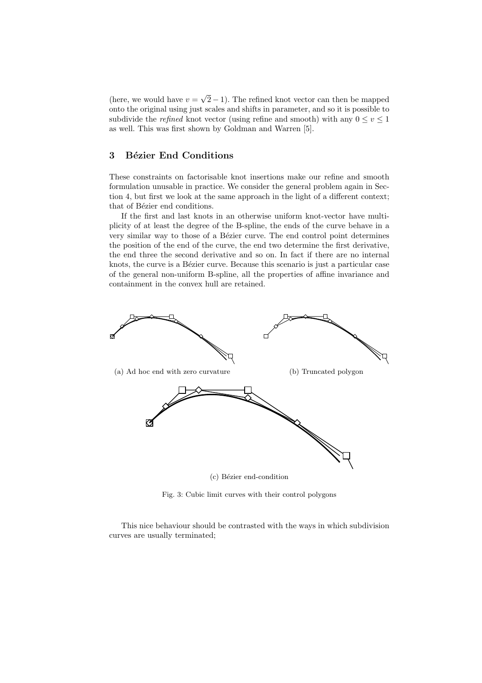(here, we would have  $v =$ √  $(2-1)$ . The refined knot vector can then be mapped onto the original using just scales and shifts in parameter, and so it is possible to subdivide the *refined* knot vector (using refine and smooth) with any  $0 \le v \le 1$ as well. This was first shown by Goldman and Warren [5].

# 3 Bézier End Conditions

These constraints on factorisable knot insertions make our refine and smooth formulation unusable in practice. We consider the general problem again in Section 4, but first we look at the same approach in the light of a different context; that of Bézier end conditions.

If the first and last knots in an otherwise uniform knot-vector have multiplicity of at least the degree of the B-spline, the ends of the curve behave in a very similar way to those of a Bézier curve. The end control point determines the position of the end of the curve, the end two determine the first derivative, the end three the second derivative and so on. In fact if there are no internal knots, the curve is a Bézier curve. Because this scenario is just a particular case of the general non-uniform B-spline, all the properties of affine invariance and containment in the convex hull are retained.



Fig. 3: Cubic limit curves with their control polygons

This nice behaviour should be contrasted with the ways in which subdivision curves are usually terminated;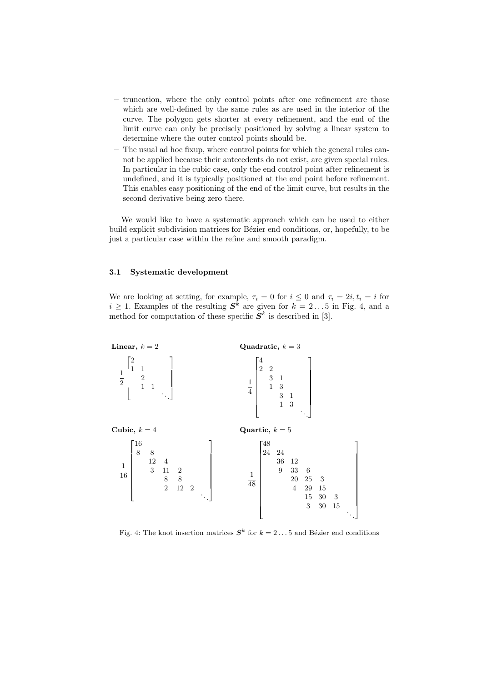- truncation, where the only control points after one refinement are those which are well-defined by the same rules as are used in the interior of the curve. The polygon gets shorter at every refinement, and the end of the limit curve can only be precisely positioned by solving a linear system to determine where the outer control points should be.
- The usual ad hoc fixup, where control points for which the general rules cannot be applied because their antecedents do not exist, are given special rules. In particular in the cubic case, only the end control point after refinement is undefined, and it is typically positioned at the end point before refinement. This enables easy positioning of the end of the limit curve, but results in the second derivative being zero there.

We would like to have a systematic approach which can be used to either build explicit subdivision matrices for Bézier end conditions, or, hopefully, to be just a particular case within the refine and smooth paradigm.

### 3.1 Systematic development

We are looking at setting, for example,  $\tau_i = 0$  for  $i \leq 0$  and  $\tau_i = 2i, t_i = i$  for  $i \geq 1$ . Examples of the resulting  $S^{\bar{k}}$  are given for  $k = 2 \dots 5$  in Fig. 4, and a method for computation of these specific  $S<sup>k</sup>$  is described in [3].



Fig. 4: The knot insertion matrices  $S<sup>k</sup>$  for  $k = 2 \dots 5$  and Bézier end conditions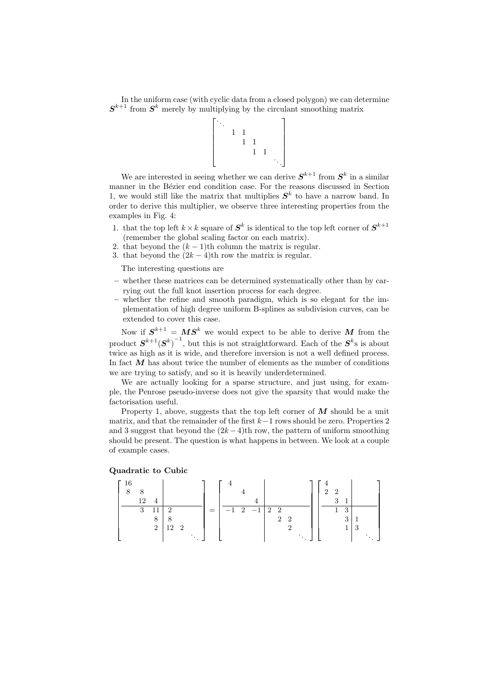In the uniform case (with cyclic data from a closed polygon) we can determine  $S^{k+1}$  from  $S^k$  merely by multiplying by the circulant smoothing matrix



We are interested in seeing whether we can derive  $S^{k+1}$  from  $S^k$  in a similar manner in the Bézier end condition case. For the reasons discussed in Section 1, we would still like the matrix that multiplies  $S<sup>k</sup>$  to have a narrow band. In order to derive this multiplier, we observe three interesting properties from the examples in Fig. 4:

- 1. that the top left  $k \times k$  square of  $S^k$  is identical to the top left corner of  $S^{k+1}$ (remember the global scaling factor on each matrix).
- 2. that beyond the  $(k-1)$ th column the matrix is regular.
- 3. that beyond the  $(2k-4)$ th row the matrix is regular.

The interesting questions are

- whether these matrices can be determined systematically other than by carrying out the full knot insertion process for each degree.
- whether the refine and smooth paradigm, which is so elegant for the implementation of high degree uniform B-splines as subdivision curves, can be extended to cover this case.

Now if  $S^{k+1} = MS^k$  we would expect to be able to derive M from the product  $S^{k+1}(S^k)^{-1}$ , but this is not straightforward. Each of the  $S^k$ s is about twice as high as it is wide, and therefore inversion is not a well defined process. In fact  $M$  has about twice the number of elements as the number of conditions we are trying to satisfy, and so it is heavily underdetermined.

We are actually looking for a sparse structure, and just using, for example, the Penrose pseudo-inverse does not give the sparsity that would make the factorisation useful.

Property 1, above, suggests that the top left corner of  $M$  should be a unit matrix, and that the remainder of the first k−1 rows should be zero. Properties 2 and 3 suggest that beyond the  $(2k-4)$ th row, the pattern of uniform smoothing should be present. The question is what happens in between. We look at a couple of example cases.

|  |  |  |  | Quadratic to Cubic |
|--|--|--|--|--------------------|
|--|--|--|--|--------------------|

| 16 |    |                |                             |        |     | 4 |                               |                |                |                        | 4              |                |   |   |  |
|----|----|----------------|-----------------------------|--------|-----|---|-------------------------------|----------------|----------------|------------------------|----------------|----------------|---|---|--|
| 8  | 8  |                |                             |        |     |   |                               |                |                |                        | $\overline{2}$ | $\overline{2}$ |   |   |  |
|    | 12 | $\overline{4}$ |                             |        |     |   |                               |                |                |                        |                | 3              |   |   |  |
|    | 3  | 11             | $\mathcal{D}_{\mathcal{L}}$ |        | $=$ |   | $-1 \quad 2 \quad -1 \quad 2$ | $\overline{2}$ |                |                        |                |                | 3 |   |  |
|    |    | 8              | 8                           |        |     |   |                               | $\overline{2}$ | $\overline{2}$ |                        |                |                | ച |   |  |
|    |    | $\overline{2}$ | 12 2                        |        |     |   |                               |                |                |                        |                |                |   | 3 |  |
|    |    |                |                             | $\sim$ |     |   |                               |                |                | $\bullet$<br>$\bullet$ |                |                |   |   |  |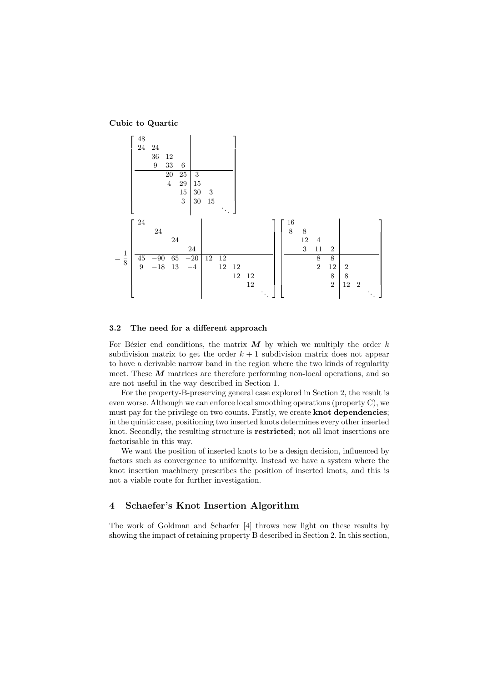Cubic to Quartic



### 3.2 The need for a different approach

For Bézier end conditions, the matrix  $M$  by which we multiply the order  $k$ subdivision matrix to get the order  $k + 1$  subdivision matrix does not appear to have a derivable narrow band in the region where the two kinds of regularity meet. These  $M$  matrices are therefore performing non-local operations, and so are not useful in the way described in Section 1.

For the property-B-preserving general case explored in Section 2, the result is even worse. Although we can enforce local smoothing operations (property C), we must pay for the privilege on two counts. Firstly, we create **knot dependencies**; in the quintic case, positioning two inserted knots determines every other inserted knot. Secondly, the resulting structure is restricted; not all knot insertions are factorisable in this way.

We want the position of inserted knots to be a design decision, influenced by factors such as convergence to uniformity. Instead we have a system where the knot insertion machinery prescribes the position of inserted knots, and this is not a viable route for further investigation.

## 4 Schaefer's Knot Insertion Algorithm

The work of Goldman and Schaefer [4] throws new light on these results by showing the impact of retaining property B described in Section 2. In this section,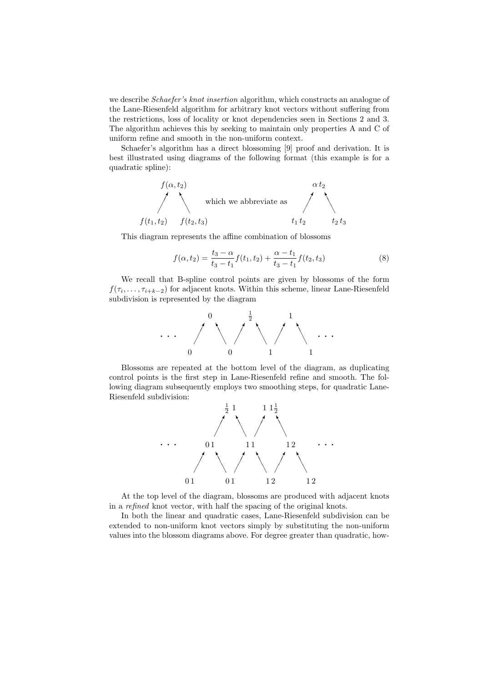we describe *Schaefer's knot insertion* algorithm, which constructs an analogue of the Lane-Riesenfeld algorithm for arbitrary knot vectors without suffering from the restrictions, loss of locality or knot dependencies seen in Sections 2 and 3. The algorithm achieves this by seeking to maintain only properties A and C of uniform refine and smooth in the non-uniform context.

Schaefer's algorithm has a direct blossoming [9] proof and derivation. It is best illustrated using diagrams of the following format (this example is for a quadratic spline):



This diagram represents the affine combination of blossoms

$$
f(\alpha, t_2) = \frac{t_3 - \alpha}{t_3 - t_1} f(t_1, t_2) + \frac{\alpha - t_1}{t_3 - t_1} f(t_2, t_3)
$$
\n(8)

We recall that B-spline control points are given by blossoms of the form  $f(\tau_i, \ldots, \tau_{i+k-2})$  for adjacent knots. Within this scheme, linear Lane-Riesenfeld subdivision is represented by the diagram



Blossoms are repeated at the bottom level of the diagram, as duplicating control points is the first step in Lane-Riesenfeld refine and smooth. The following diagram subsequently employs two smoothing steps, for quadratic Lane-Riesenfeld subdivision:



At the top level of the diagram, blossoms are produced with adjacent knots in a refined knot vector, with half the spacing of the original knots.

In both the linear and quadratic cases, Lane-Riesenfeld subdivision can be extended to non-uniform knot vectors simply by substituting the non-uniform values into the blossom diagrams above. For degree greater than quadratic, how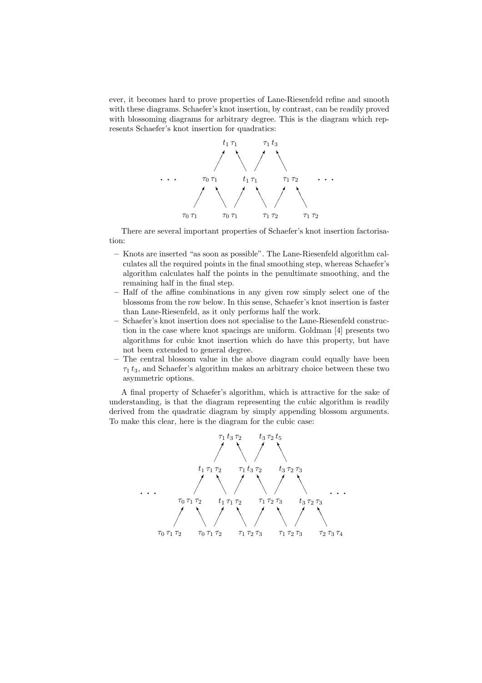ever, it becomes hard to prove properties of Lane-Riesenfeld refine and smooth with these diagrams. Schaefer's knot insertion, by contrast, can be readily proved with blossoming diagrams for arbitrary degree. This is the diagram which represents Schaefer's knot insertion for quadratics:



There are several important properties of Schaefer's knot insertion factorisation:

- Knots are inserted "as soon as possible". The Lane-Riesenfeld algorithm calculates all the required points in the final smoothing step, whereas Schaefer's algorithm calculates half the points in the penultimate smoothing, and the remaining half in the final step.
- Half of the affine combinations in any given row simply select one of the blossoms from the row below. In this sense, Schaefer's knot insertion is faster than Lane-Riesenfeld, as it only performs half the work.
- Schaefer's knot insertion does not specialise to the Lane-Riesenfeld construction in the case where knot spacings are uniform. Goldman [4] presents two algorithms for cubic knot insertion which do have this property, but have not been extended to general degree.
- The central blossom value in the above diagram could equally have been  $\tau_1 t_3$ , and Schaefer's algorithm makes an arbitrary choice between these two asymmetric options.

A final property of Schaefer's algorithm, which is attractive for the sake of understanding, is that the diagram representing the cubic algorithm is readily derived from the quadratic diagram by simply appending blossom arguments. To make this clear, here is the diagram for the cubic case:

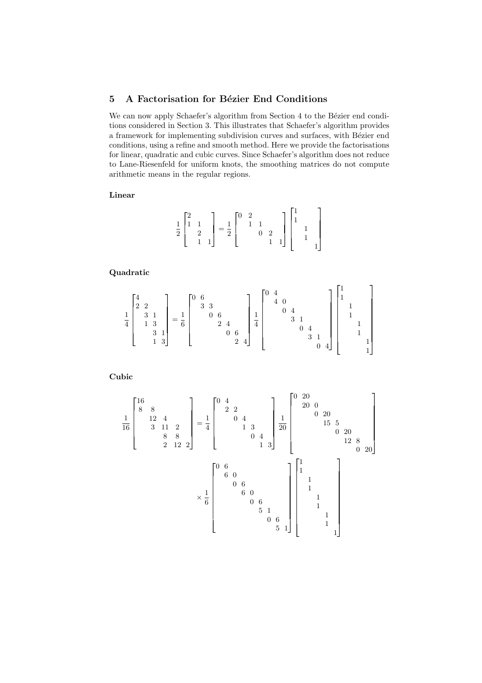## 5 A Factorisation for Bézier End Conditions

We can now apply Schaefer's algorithm from Section 4 to the Bézier end conditions considered in Section 3. This illustrates that Schaefer's algorithm provides a framework for implementing subdivision curves and surfaces, with Bézier end conditions, using a refine and smooth method. Here we provide the factorisations for linear, quadratic and cubic curves. Since Schaefer's algorithm does not reduce to Lane-Riesenfeld for uniform knots, the smoothing matrices do not compute arithmetic means in the regular regions.

### Linear

$$
\frac{1}{2} \begin{bmatrix} 2 & & \\ 1 & 1 & \\ & 2 & \\ & & 1 & 1 \end{bmatrix} = \frac{1}{2} \begin{bmatrix} 0 & 2 & & \\ & 1 & 1 & \\ & & 0 & 2 \\ & & & 1 & 1 \end{bmatrix} \begin{bmatrix} 1 & & \\ 1 & & \\ & 1 & \\ & & 1 & \\ & & & 1 \end{bmatrix}
$$

# Quadratic

$$
\frac{1}{4} \begin{bmatrix} 4 & & & & \\ 2 & 2 & & & \\ & 3 & 1 & & \\ & & 1 & 3 & \\ & & & 3 & 1 \\ & & & & 1 & 3 \end{bmatrix} = \frac{1}{6} \begin{bmatrix} 0 & 6 & & & & \\ & 3 & 3 & & & \\ & & 0 & 6 & & \\ & & & 2 & 4 & \\ & & & & 2 & 4 \end{bmatrix} \begin{bmatrix} 0 & 4 & & & & \\ & 4 & 0 & & & & \\ & & 0 & 4 & & & \\ & & & 3 & 1 & & \\ & & & & 0 & 4 & \\ & & & & & 0 & 4 \end{bmatrix} \begin{bmatrix} 1 & & & & & \\ 1 & & & & & & \\ & 1 & & & & & \\ & & 1 & & & & \\ & & & & 1 & & \\ & & & & & 1 & \\ & & & & & & 1 \end{bmatrix}
$$

Cubic

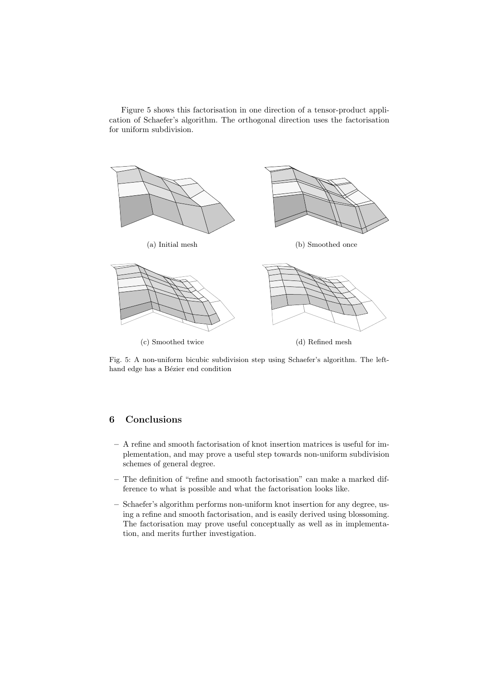

Figure 5 shows this factorisation in one direction of a tensor-product application of Schaefer's algorithm. The orthogonal direction uses the factorisation for uniform subdivision.

Fig. 5: A non-uniform bicubic subdivision step using Schaefer's algorithm. The lefthand edge has a Bézier end condition

# 6 Conclusions

- A refine and smooth factorisation of knot insertion matrices is useful for implementation, and may prove a useful step towards non-uniform subdivision schemes of general degree.
- The definition of "refine and smooth factorisation" can make a marked difference to what is possible and what the factorisation looks like.
- Schaefer's algorithm performs non-uniform knot insertion for any degree, using a refine and smooth factorisation, and is easily derived using blossoming. The factorisation may prove useful conceptually as well as in implementation, and merits further investigation.